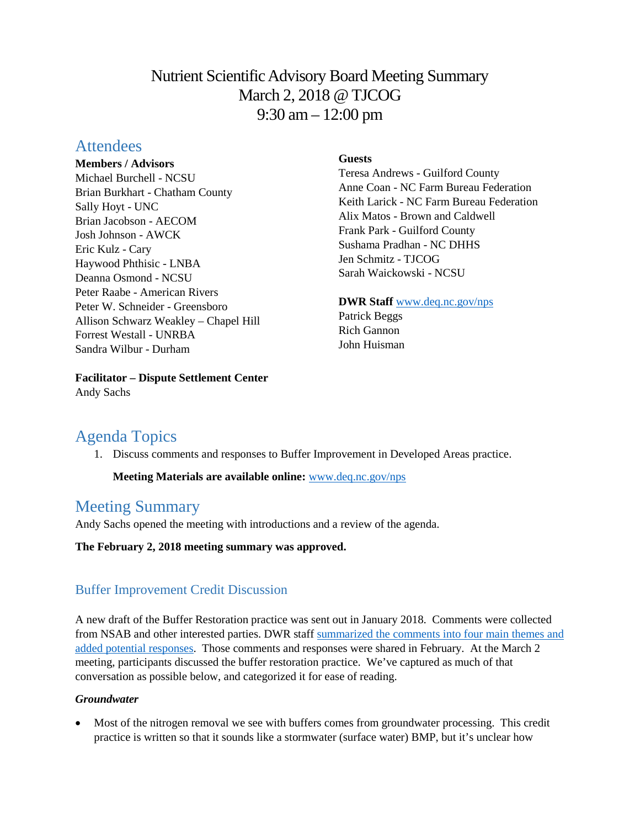# Nutrient Scientific Advisory Board Meeting Summary March 2, 2018 @ TJCOG 9:30 am – 12:00 pm

# **Attendees**

#### **Members / Advisors**

Michael Burchell - NCSU Brian Burkhart - Chatham County Sally Hoyt - UNC Brian Jacobson - AECOM Josh Johnson - AWCK Eric Kulz - Cary Haywood Phthisic - LNBA Deanna Osmond - NCSU Peter Raabe - American Rivers Peter W. Schneider - Greensboro Allison Schwarz Weakley – Chapel Hill Forrest Westall - UNRBA Sandra Wilbur - Durham

**Facilitator – Dispute Settlement Center**

# **Guests**

Teresa Andrews - Guilford County Anne Coan - NC Farm Bureau Federation Keith Larick - NC Farm Bureau Federation Alix Matos - Brown and Caldwell Frank Park - Guilford County Sushama Pradhan - NC DHHS Jen Schmitz - TJCOG Sarah Waickowski - NCSU

## **DWR Staff** [www.deq.nc.gov/nps](http://www.deq.nc.gov/nps)

Patrick Beggs Rich Gannon John Huisman

# Agenda Topics

Andy Sachs

1. Discuss comments and responses to Buffer Improvement in Developed Areas practice.

# **Meeting Materials are available online:** [www.deq.nc.gov/nps](https://deq.nc.gov/about/divisions/water-resources/planning/nonpoint-source-management/nutrient-scientific-advisory-board/meeting-documents)

# Meeting Summary

Andy Sachs opened the meeting with introductions and a review of the agenda.

**The February 2, 2018 meeting summary was approved.** 

# Buffer Improvement Credit Discussion

A new draft of the Buffer Restoration practice was sent out in January 2018. Comments were collected from NSAB and other interested parties. DWR staff [summarized the comments into four main themes and](https://files.nc.gov/ncdeq/Water%20Quality/Planning/NPU/Nutrient%20Scientific%20Advisory%20Board/Developed%20Buffer%20Restoration%20Comments%20Summary%20and%20initial%20responses.pdf)  [added potential responses.](https://files.nc.gov/ncdeq/Water%20Quality/Planning/NPU/Nutrient%20Scientific%20Advisory%20Board/Developed%20Buffer%20Restoration%20Comments%20Summary%20and%20initial%20responses.pdf) Those comments and responses were shared in February. At the March 2 meeting, participants discussed the buffer restoration practice. We've captured as much of that conversation as possible below, and categorized it for ease of reading.

## *Groundwater*

• Most of the nitrogen removal we see with buffers comes from groundwater processing. This credit practice is written so that it sounds like a stormwater (surface water) BMP, but it's unclear how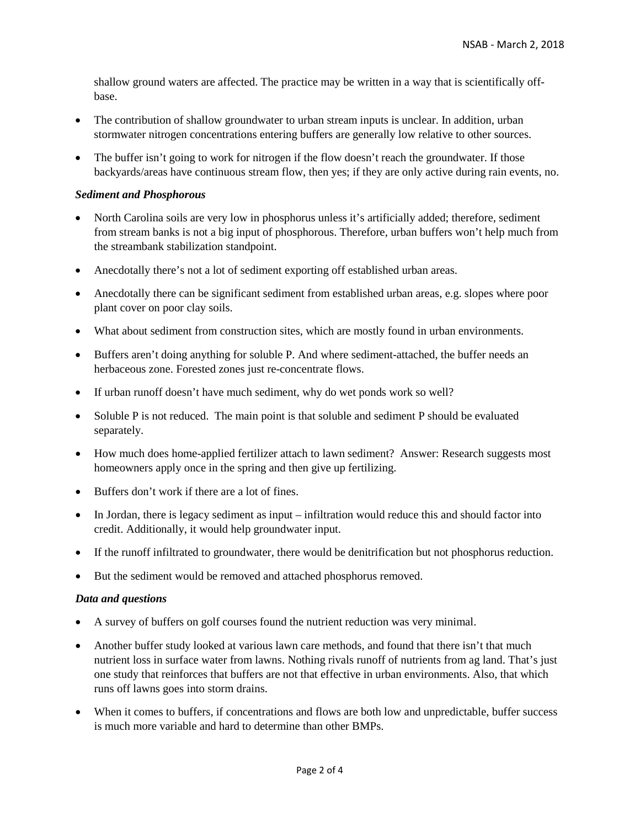shallow ground waters are affected. The practice may be written in a way that is scientifically offbase.

- The contribution of shallow groundwater to urban stream inputs is unclear. In addition, urban stormwater nitrogen concentrations entering buffers are generally low relative to other sources.
- The buffer isn't going to work for nitrogen if the flow doesn't reach the groundwater. If those backyards/areas have continuous stream flow, then yes; if they are only active during rain events, no.

#### *Sediment and Phosphorous*

- North Carolina soils are very low in phosphorus unless it's artificially added; therefore, sediment from stream banks is not a big input of phosphorous. Therefore, urban buffers won't help much from the streambank stabilization standpoint.
- Anecdotally there's not a lot of sediment exporting off established urban areas.
- Anecdotally there can be significant sediment from established urban areas, e.g. slopes where poor plant cover on poor clay soils.
- What about sediment from construction sites, which are mostly found in urban environments.
- Buffers aren't doing anything for soluble P. And where sediment-attached, the buffer needs an herbaceous zone. Forested zones just re-concentrate flows.
- If urban runoff doesn't have much sediment, why do wet ponds work so well?
- Soluble P is not reduced. The main point is that soluble and sediment P should be evaluated separately.
- How much does home-applied fertilizer attach to lawn sediment? Answer: Research suggests most homeowners apply once in the spring and then give up fertilizing.
- Buffers don't work if there are a lot of fines.
- In Jordan, there is legacy sediment as input infiltration would reduce this and should factor into credit. Additionally, it would help groundwater input.
- If the runoff infiltrated to groundwater, there would be denitrification but not phosphorus reduction.
- But the sediment would be removed and attached phosphorus removed.

#### *Data and questions*

- A survey of buffers on golf courses found the nutrient reduction was very minimal.
- Another buffer study looked at various lawn care methods, and found that there isn't that much nutrient loss in surface water from lawns. Nothing rivals runoff of nutrients from ag land. That's just one study that reinforces that buffers are not that effective in urban environments. Also, that which runs off lawns goes into storm drains.
- When it comes to buffers, if concentrations and flows are both low and unpredictable, buffer success is much more variable and hard to determine than other BMPs.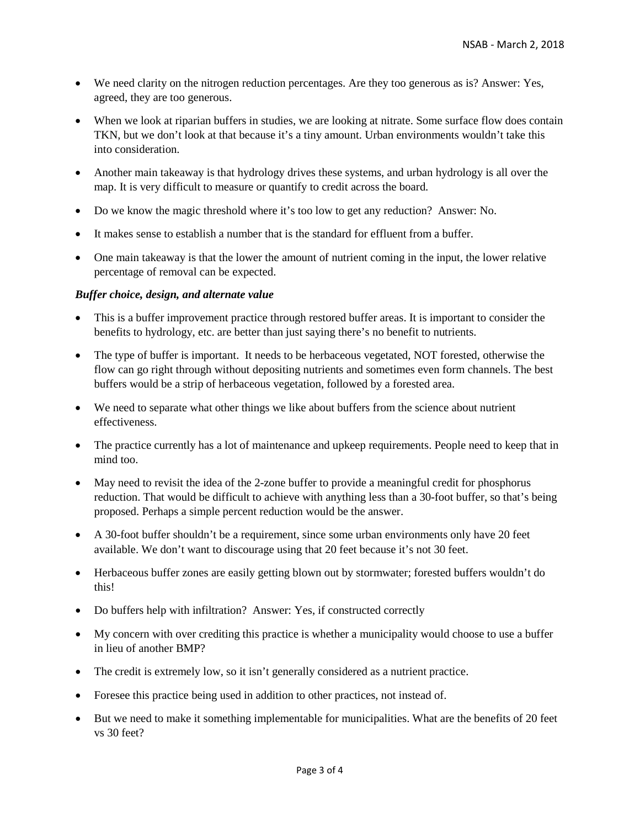- We need clarity on the nitrogen reduction percentages. Are they too generous as is? Answer: Yes, agreed, they are too generous.
- When we look at riparian buffers in studies, we are looking at nitrate. Some surface flow does contain TKN, but we don't look at that because it's a tiny amount. Urban environments wouldn't take this into consideration.
- Another main takeaway is that hydrology drives these systems, and urban hydrology is all over the map. It is very difficult to measure or quantify to credit across the board.
- Do we know the magic threshold where it's too low to get any reduction? Answer: No.
- It makes sense to establish a number that is the standard for effluent from a buffer.
- One main takeaway is that the lower the amount of nutrient coming in the input, the lower relative percentage of removal can be expected.

#### *Buffer choice, design, and alternate value*

- This is a buffer improvement practice through restored buffer areas. It is important to consider the benefits to hydrology, etc. are better than just saying there's no benefit to nutrients.
- The type of buffer is important. It needs to be herbaceous vegetated, NOT forested, otherwise the flow can go right through without depositing nutrients and sometimes even form channels. The best buffers would be a strip of herbaceous vegetation, followed by a forested area.
- We need to separate what other things we like about buffers from the science about nutrient effectiveness.
- The practice currently has a lot of maintenance and upkeep requirements. People need to keep that in mind too.
- May need to revisit the idea of the 2-zone buffer to provide a meaningful credit for phosphorus reduction. That would be difficult to achieve with anything less than a 30-foot buffer, so that's being proposed. Perhaps a simple percent reduction would be the answer.
- A 30-foot buffer shouldn't be a requirement, since some urban environments only have 20 feet available. We don't want to discourage using that 20 feet because it's not 30 feet.
- Herbaceous buffer zones are easily getting blown out by stormwater; forested buffers wouldn't do this!
- Do buffers help with infiltration? Answer: Yes, if constructed correctly
- My concern with over crediting this practice is whether a municipality would choose to use a buffer in lieu of another BMP?
- The credit is extremely low, so it isn't generally considered as a nutrient practice.
- Foresee this practice being used in addition to other practices, not instead of.
- But we need to make it something implementable for municipalities. What are the benefits of 20 feet vs 30 feet?